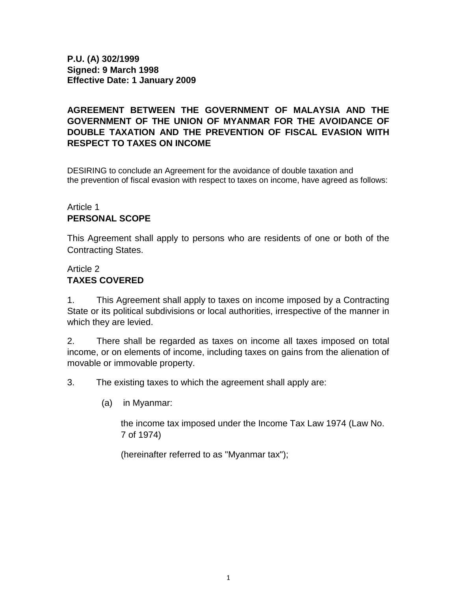**P.U. (A) 302/1999 Signed: 9 March 1998 Effective Date: 1 January 2009**

### **AGREEMENT BETWEEN THE GOVERNMENT OF MALAYSIA AND THE GOVERNMENT OF THE UNION OF MYANMAR FOR THE AVOIDANCE OF DOUBLE TAXATION AND THE PREVENTION OF FISCAL EVASION WITH RESPECT TO TAXES ON INCOME**

DESIRING to conclude an Agreement for the avoidance of double taxation and the prevention of fiscal evasion with respect to taxes on income, have agreed as follows:

#### Article 1 **PERSONAL SCOPE**

This Agreement shall apply to persons who are residents of one or both of the Contracting States.

# Article 2 **TAXES COVERED**

1. This Agreement shall apply to taxes on income imposed by a Contracting State or its political subdivisions or local authorities, irrespective of the manner in which they are levied.

2. There shall be regarded as taxes on income all taxes imposed on total income, or on elements of income, including taxes on gains from the alienation of movable or immovable property.

3. The existing taxes to which the agreement shall apply are:

(a) in Myanmar:

the income tax imposed under the Income Tax Law 1974 (Law No. 7 of 1974)

(hereinafter referred to as "Myanmar tax");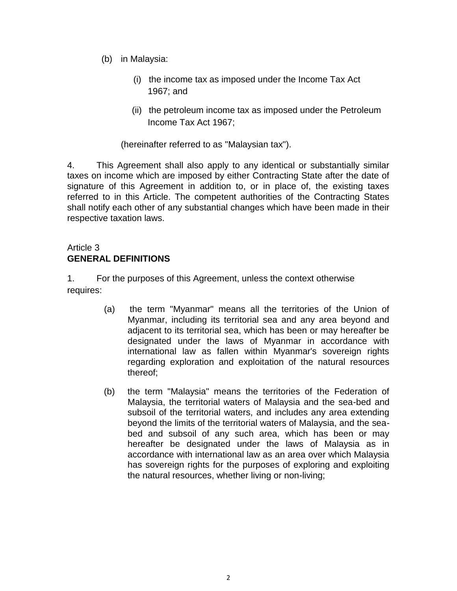- (b) in Malaysia:
	- (i) the income tax as imposed under the Income Tax Act 1967; and
	- (ii) the petroleum income tax as imposed under the Petroleum Income Tax Act 1967;

(hereinafter referred to as "Malaysian tax").

4. This Agreement shall also apply to any identical or substantially similar taxes on income which are imposed by either Contracting State after the date of signature of this Agreement in addition to, or in place of, the existing taxes referred to in this Article. The competent authorities of the Contracting States shall notify each other of any substantial changes which have been made in their respective taxation laws.

### Article 3 **GENERAL DEFINITIONS**

1. For the purposes of this Agreement, unless the context otherwise requires:

- (a) the term "Myanmar" means all the territories of the Union of Myanmar, including its territorial sea and any area beyond and adjacent to its territorial sea, which has been or may hereafter be designated under the laws of Myanmar in accordance with international law as fallen within Myanmar's sovereign rights regarding exploration and exploitation of the natural resources thereof;
- (b) the term "Malaysia" means the territories of the Federation of Malaysia, the territorial waters of Malaysia and the sea-bed and subsoil of the territorial waters, and includes any area extending beyond the limits of the territorial waters of Malaysia, and the seabed and subsoil of any such area, which has been or may hereafter be designated under the laws of Malaysia as in accordance with international law as an area over which Malaysia has sovereign rights for the purposes of exploring and exploiting the natural resources, whether living or non-living;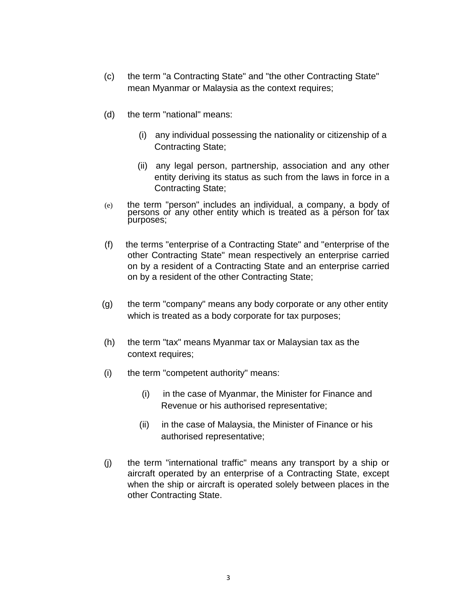- (c) the term "a Contracting State" and "the other Contracting State" mean Myanmar or Malaysia as the context requires;
- (d) the term "national" means:
	- (i) any individual possessing the nationality or citizenship of a Contracting State;
	- (ii) any legal person, partnership, association and any other entity deriving its status as such from the laws in force in a Contracting State;
- (e) the term "person" includes an individual, a company, a body of persons or any other entity which is treated as a person for tax purposes;
- (f) the terms "enterprise of a Contracting State" and "enterprise of the other Contracting State" mean respectively an enterprise carried on by a resident of a Contracting State and an enterprise carried on by a resident of the other Contracting State;
- (g) the term "company" means any body corporate or any other entity which is treated as a body corporate for tax purposes;
- (h) the term "tax" means Myanmar tax or Malaysian tax as the context requires;
- (i) the term "competent authority" means:
	- (i) in the case of Myanmar, the Minister for Finance and Revenue or his authorised representative;
	- (ii) in the case of Malaysia, the Minister of Finance or his authorised representative;
- (j) the term "international traffic" means any transport by a ship or aircraft operated by an enterprise of a Contracting State, except when the ship or aircraft is operated solely between places in the other Contracting State.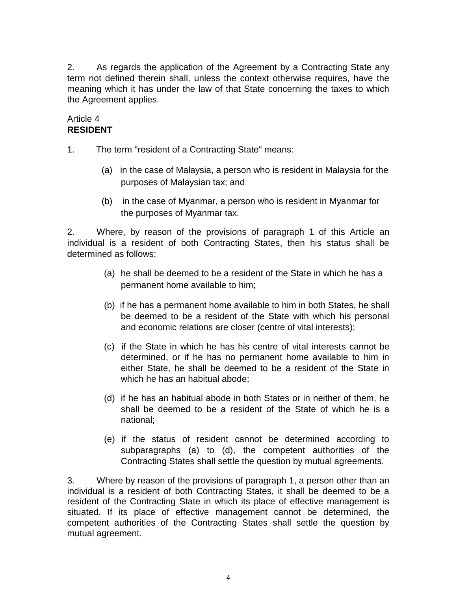2. As regards the application of the Agreement by a Contracting State any term not defined therein shall, unless the context otherwise requires, have the meaning which it has under the law of that State concerning the taxes to which the Agreement applies.

#### Article 4 **RESIDENT**

- 1. The term "resident of a Contracting State" means:
	- (a) in the case of Malaysia, a person who is resident in Malaysia for the purposes of Malaysian tax; and
	- (b) in the case of Myanmar, a person who is resident in Myanmar for the purposes of Myanmar tax.

2. Where, by reason of the provisions of paragraph 1 of this Article an individual is a resident of both Contracting States, then his status shall be determined as follows:

- (a) he shall be deemed to be a resident of the State in which he has a permanent home available to him;
- (b) if he has a permanent home available to him in both States, he shall be deemed to be a resident of the State with which his personal and economic relations are closer (centre of vital interests);
- (c) if the State in which he has his centre of vital interests cannot be determined, or if he has no permanent home available to him in either State, he shall be deemed to be a resident of the State in which he has an habitual abode;
- (d) if he has an habitual abode in both States or in neither of them, he shall be deemed to be a resident of the State of which he is a national;
- (e) if the status of resident cannot be determined according to subparagraphs (a) to (d), the competent authorities of the Contracting States shall settle the question by mutual agreements.

3. Where by reason of the provisions of paragraph 1, a person other than an individual is a resident of both Contracting States, it shall be deemed to be a resident of the Contracting State in which its place of effective management is situated. If its place of effective management cannot be determined, the competent authorities of the Contracting States shall settle the question by mutual agreement.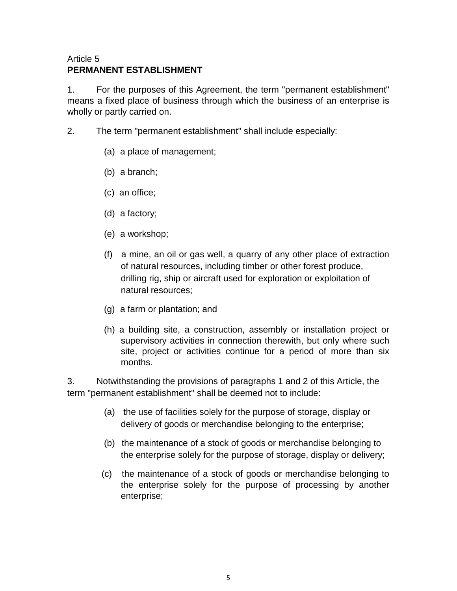#### Article 5 **PERMANENT ESTABLISHMENT**

1. For the purposes of this Agreement, the term "permanent establishment" means a fixed place of business through which the business of an enterprise is wholly or partly carried on.

- 2. The term "permanent establishment" shall include especially:
	- (a) a place of management;
	- (b) a branch;
	- (c) an office;
	- (d) a factory;
	- (e) a workshop;
	- (f) a mine, an oil or gas well, a quarry of any other place of extraction of natural resources, including timber or other forest produce, drilling rig, ship or aircraft used for exploration or exploitation of natural resources;
	- (g) a farm or plantation; and
	- (h) a building site, a construction, assembly or installation project or supervisory activities in connection therewith, but only where such site, project or activities continue for a period of more than six months.

3. Notwithstanding the provisions of paragraphs 1 and 2 of this Article, the term "permanent establishment" shall be deemed not to include:

- (a) the use of facilities solely for the purpose of storage, display or delivery of goods or merchandise belonging to the enterprise;
- (b) the maintenance of a stock of goods or merchandise belonging to the enterprise solely for the purpose of storage, display or delivery;
- (c) the maintenance of a stock of goods or merchandise belonging to the enterprise solely for the purpose of processing by another enterprise;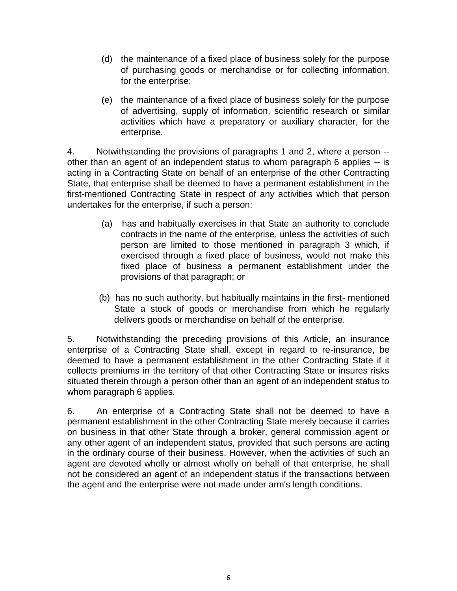- (d) the maintenance of a fixed place of business solely for the purpose of purchasing goods or merchandise or for collecting information, for the enterprise;
- (e) the maintenance of a fixed place of business solely for the purpose of advertising, supply of information, scientific research or similar activities which have a preparatory or auxiliary character, for the enterprise.

4. Notwithstanding the provisions of paragraphs 1 and 2, where a person - other than an agent of an independent status to whom paragraph 6 applies -- is acting in a Contracting State on behalf of an enterprise of the other Contracting State, that enterprise shall be deemed to have a permanent establishment in the first-mentioned Contracting State in respect of any activities which that person undertakes for the enterprise, if such a person:

- (a) has and habitually exercises in that State an authority to conclude contracts in the name of the enterprise, unless the activities of such person are limited to those mentioned in paragraph 3 which, if exercised through a fixed place of business, would not make this fixed place of business a permanent establishment under the provisions of that paragraph; or
- (b) has no such authority, but habitually maintains in the first- mentioned State a stock of goods or merchandise from which he regularly delivers goods or merchandise on behalf of the enterprise.

5. Notwithstanding the preceding provisions of this Article, an insurance enterprise of a Contracting State shall, except in regard to re-insurance, be deemed to have a permanent establishment in the other Contracting State if it collects premiums in the territory of that other Contracting State or insures risks situated therein through a person other than an agent of an independent status to whom paragraph 6 applies.

6. An enterprise of a Contracting State shall not be deemed to have a permanent establishment in the other Contracting State merely because it carries on business in that other State through a broker, general commission agent or any other agent of an independent status, provided that such persons are acting in the ordinary course of their business. However, when the activities of such an agent are devoted wholly or almost wholly on behalf of that enterprise, he shall not be considered an agent of an independent status if the transactions between the agent and the enterprise were not made under arm's length conditions.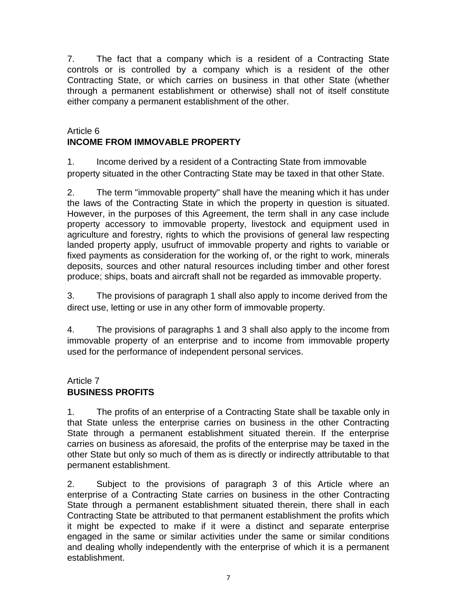7. The fact that a company which is a resident of a Contracting State controls or is controlled by a company which is a resident of the other Contracting State, or which carries on business in that other State (whether through a permanent establishment or otherwise) shall not of itself constitute either company a permanent establishment of the other.

### Article 6 **INCOME FROM IMMOVABLE PROPERTY**

1. Income derived by a resident of a Contracting State from immovable property situated in the other Contracting State may be taxed in that other State.

2. The term "immovable property" shall have the meaning which it has under the laws of the Contracting State in which the property in question is situated. However, in the purposes of this Agreement, the term shall in any case include property accessory to immovable property, livestock and equipment used in agriculture and forestry, rights to which the provisions of general law respecting landed property apply, usufruct of immovable property and rights to variable or fixed payments as consideration for the working of, or the right to work, minerals deposits, sources and other natural resources including timber and other forest produce; ships, boats and aircraft shall not be regarded as immovable property.

3. The provisions of paragraph 1 shall also apply to income derived from the direct use, letting or use in any other form of immovable property.

4. The provisions of paragraphs 1 and 3 shall also apply to the income from immovable property of an enterprise and to income from immovable property used for the performance of independent personal services.

#### Article 7 **BUSINESS PROFITS**

1. The profits of an enterprise of a Contracting State shall be taxable only in that State unless the enterprise carries on business in the other Contracting State through a permanent establishment situated therein. If the enterprise carries on business as aforesaid, the profits of the enterprise may be taxed in the other State but only so much of them as is directly or indirectly attributable to that permanent establishment.

2. Subject to the provisions of paragraph 3 of this Article where an enterprise of a Contracting State carries on business in the other Contracting State through a permanent establishment situated therein, there shall in each Contracting State be attributed to that permanent establishment the profits which it might be expected to make if it were a distinct and separate enterprise engaged in the same or similar activities under the same or similar conditions and dealing wholly independently with the enterprise of which it is a permanent establishment.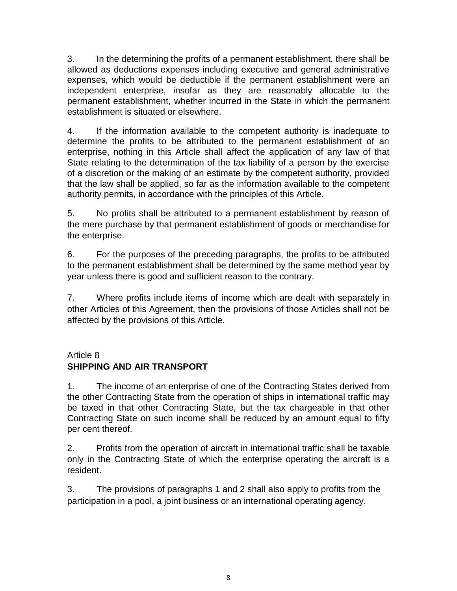3. In the determining the profits of a permanent establishment, there shall be allowed as deductions expenses including executive and general administrative expenses, which would be deductible if the permanent establishment were an independent enterprise, insofar as they are reasonably allocable to the permanent establishment, whether incurred in the State in which the permanent establishment is situated or elsewhere.

4. If the information available to the competent authority is inadequate to determine the profits to be attributed to the permanent establishment of an enterprise, nothing in this Article shall affect the application of any law of that State relating to the determination of the tax liability of a person by the exercise of a discretion or the making of an estimate by the competent authority, provided that the law shall be applied, so far as the information available to the competent authority permits, in accordance with the principles of this Article.

5. No profits shall be attributed to a permanent establishment by reason of the mere purchase by that permanent establishment of goods or merchandise for the enterprise.

6. For the purposes of the preceding paragraphs, the profits to be attributed to the permanent establishment shall be determined by the same method year by year unless there is good and sufficient reason to the contrary.

7. Where profits include items of income which are dealt with separately in other Articles of this Agreement, then the provisions of those Articles shall not be affected by the provisions of this Article.

# Article 8

# **SHIPPING AND AIR TRANSPORT**

1. The income of an enterprise of one of the Contracting States derived from the other Contracting State from the operation of ships in international traffic may be taxed in that other Contracting State, but the tax chargeable in that other Contracting State on such income shall be reduced by an amount equal to fifty per cent thereof.

2. Profits from the operation of aircraft in international traffic shall be taxable only in the Contracting State of which the enterprise operating the aircraft is a resident.

3. The provisions of paragraphs 1 and 2 shall also apply to profits from the participation in a pool, a joint business or an international operating agency.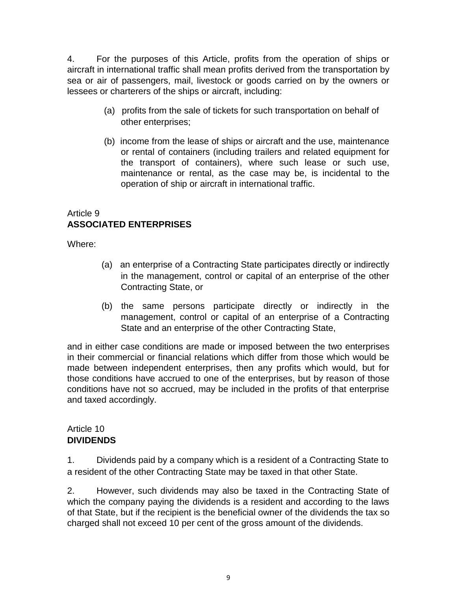4. For the purposes of this Article, profits from the operation of ships or aircraft in international traffic shall mean profits derived from the transportation by sea or air of passengers, mail, livestock or goods carried on by the owners or lessees or charterers of the ships or aircraft, including:

- (a) profits from the sale of tickets for such transportation on behalf of other enterprises;
- (b) income from the lease of ships or aircraft and the use, maintenance or rental of containers (including trailers and related equipment for the transport of containers), where such lease or such use, maintenance or rental, as the case may be, is incidental to the operation of ship or aircraft in international traffic.

### Article 9 **ASSOCIATED ENTERPRISES**

Where:

- (a) an enterprise of a Contracting State participates directly or indirectly in the management, control or capital of an enterprise of the other Contracting State, or
- (b) the same persons participate directly or indirectly in the management, control or capital of an enterprise of a Contracting State and an enterprise of the other Contracting State,

and in either case conditions are made or imposed between the two enterprises in their commercial or financial relations which differ from those which would be made between independent enterprises, then any profits which would, but for those conditions have accrued to one of the enterprises, but by reason of those conditions have not so accrued, may be included in the profits of that enterprise and taxed accordingly.

### Article 10 **DIVIDENDS**

1. Dividends paid by a company which is a resident of a Contracting State to a resident of the other Contracting State may be taxed in that other State.

2. However, such dividends may also be taxed in the Contracting State of which the company paying the dividends is a resident and according to the laws of that State, but if the recipient is the beneficial owner of the dividends the tax so charged shall not exceed 10 per cent of the gross amount of the dividends.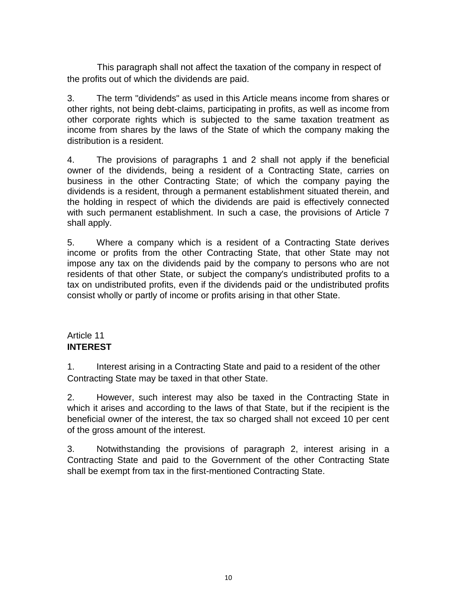This paragraph shall not affect the taxation of the company in respect of the profits out of which the dividends are paid.

3. The term "dividends" as used in this Article means income from shares or other rights, not being debt-claims, participating in profits, as well as income from other corporate rights which is subjected to the same taxation treatment as income from shares by the laws of the State of which the company making the distribution is a resident.

4. The provisions of paragraphs 1 and 2 shall not apply if the beneficial owner of the dividends, being a resident of a Contracting State, carries on business in the other Contracting State; of which the company paying the dividends is a resident, through a permanent establishment situated therein, and the holding in respect of which the dividends are paid is effectively connected with such permanent establishment. In such a case, the provisions of Article 7 shall apply.

5. Where a company which is a resident of a Contracting State derives income or profits from the other Contracting State, that other State may not impose any tax on the dividends paid by the company to persons who are not residents of that other State, or subject the company's undistributed profits to a tax on undistributed profits, even if the dividends paid or the undistributed profits consist wholly or partly of income or profits arising in that other State.

# Article 11 **INTEREST**

1. Interest arising in a Contracting State and paid to a resident of the other Contracting State may be taxed in that other State.

2. However, such interest may also be taxed in the Contracting State in which it arises and according to the laws of that State, but if the recipient is the beneficial owner of the interest, the tax so charged shall not exceed 10 per cent of the gross amount of the interest.

3. Notwithstanding the provisions of paragraph 2, interest arising in a Contracting State and paid to the Government of the other Contracting State shall be exempt from tax in the first-mentioned Contracting State.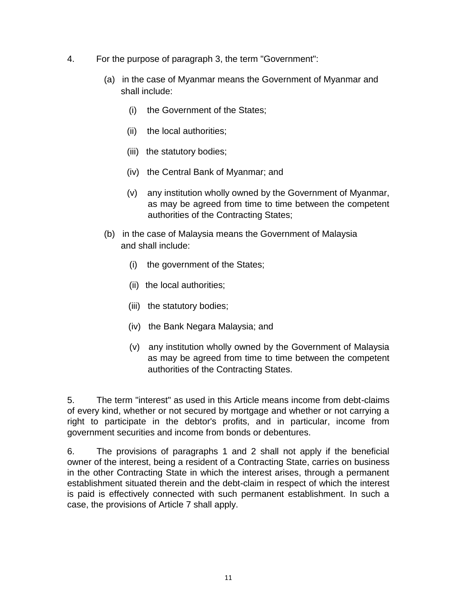- 4. For the purpose of paragraph 3, the term "Government":
	- (a) in the case of Myanmar means the Government of Myanmar and shall include:
		- (i) the Government of the States;
		- (ii) the local authorities;
		- (iii) the statutory bodies;
		- (iv) the Central Bank of Myanmar; and
		- (v) any institution wholly owned by the Government of Myanmar, as may be agreed from time to time between the competent authorities of the Contracting States;
	- (b) in the case of Malaysia means the Government of Malaysia and shall include:
		- (i) the government of the States;
		- (ii) the local authorities;
		- (iii) the statutory bodies;
		- (iv) the Bank Negara Malaysia; and
		- (v) any institution wholly owned by the Government of Malaysia as may be agreed from time to time between the competent authorities of the Contracting States.

5. The term "interest" as used in this Article means income from debt-claims of every kind, whether or not secured by mortgage and whether or not carrying a right to participate in the debtor's profits, and in particular, income from government securities and income from bonds or debentures.

6. The provisions of paragraphs 1 and 2 shall not apply if the beneficial owner of the interest, being a resident of a Contracting State, carries on business in the other Contracting State in which the interest arises, through a permanent establishment situated therein and the debt-claim in respect of which the interest is paid is effectively connected with such permanent establishment. In such a case, the provisions of Article 7 shall apply.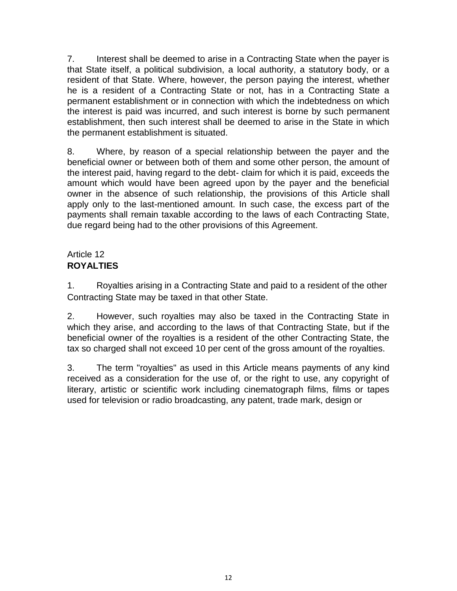7. Interest shall be deemed to arise in a Contracting State when the payer is that State itself, a political subdivision, a local authority, a statutory body, or a resident of that State. Where, however, the person paying the interest, whether he is a resident of a Contracting State or not, has in a Contracting State a permanent establishment or in connection with which the indebtedness on which the interest is paid was incurred, and such interest is borne by such permanent establishment, then such interest shall be deemed to arise in the State in which the permanent establishment is situated.

8. Where, by reason of a special relationship between the payer and the beneficial owner or between both of them and some other person, the amount of the interest paid, having regard to the debt- claim for which it is paid, exceeds the amount which would have been agreed upon by the payer and the beneficial owner in the absence of such relationship, the provisions of this Article shall apply only to the last-mentioned amount. In such case, the excess part of the payments shall remain taxable according to the laws of each Contracting State, due regard being had to the other provisions of this Agreement.

# Article 12 **ROYALTIES**

1. Royalties arising in a Contracting State and paid to a resident of the other Contracting State may be taxed in that other State.

2. However, such royalties may also be taxed in the Contracting State in which they arise, and according to the laws of that Contracting State, but if the beneficial owner of the royalties is a resident of the other Contracting State, the tax so charged shall not exceed 10 per cent of the gross amount of the royalties.

3. The term "royalties" as used in this Article means payments of any kind received as a consideration for the use of, or the right to use, any copyright of literary, artistic or scientific work including cinematograph films, films or tapes used for television or radio broadcasting, any patent, trade mark, design or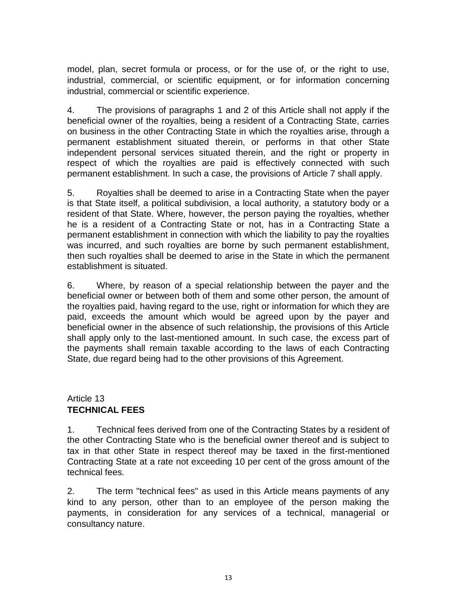model, plan, secret formula or process, or for the use of, or the right to use, industrial, commercial, or scientific equipment, or for information concerning industrial, commercial or scientific experience.

4. The provisions of paragraphs 1 and 2 of this Article shall not apply if the beneficial owner of the royalties, being a resident of a Contracting State, carries on business in the other Contracting State in which the royalties arise, through a permanent establishment situated therein, or performs in that other State independent personal services situated therein, and the right or property in respect of which the royalties are paid is effectively connected with such permanent establishment. In such a case, the provisions of Article 7 shall apply.

5. Royalties shall be deemed to arise in a Contracting State when the payer is that State itself, a political subdivision, a local authority, a statutory body or a resident of that State. Where, however, the person paying the royalties, whether he is a resident of a Contracting State or not, has in a Contracting State a permanent establishment in connection with which the liability to pay the royalties was incurred, and such royalties are borne by such permanent establishment, then such royalties shall be deemed to arise in the State in which the permanent establishment is situated.

6. Where, by reason of a special relationship between the payer and the beneficial owner or between both of them and some other person, the amount of the royalties paid, having regard to the use, right or information for which they are paid, exceeds the amount which would be agreed upon by the payer and beneficial owner in the absence of such relationship, the provisions of this Article shall apply only to the last-mentioned amount. In such case, the excess part of the payments shall remain taxable according to the laws of each Contracting State, due regard being had to the other provisions of this Agreement.

#### Article 13 **TECHNICAL FEES**

1. Technical fees derived from one of the Contracting States by a resident of the other Contracting State who is the beneficial owner thereof and is subject to tax in that other State in respect thereof may be taxed in the first-mentioned Contracting State at a rate not exceeding 10 per cent of the gross amount of the technical fees.

2. The term "technical fees" as used in this Article means payments of any kind to any person, other than to an employee of the person making the payments, in consideration for any services of a technical, managerial or consultancy nature.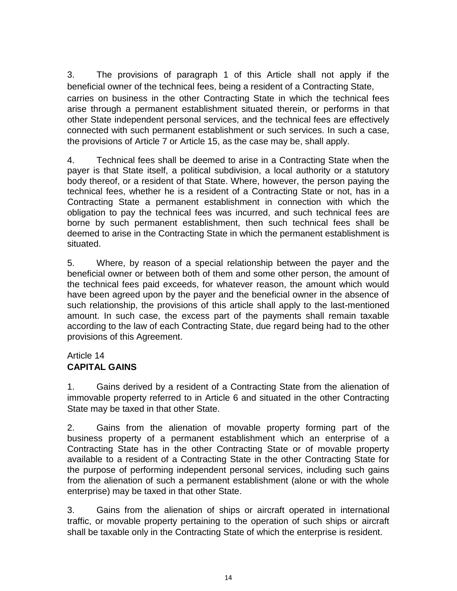3. The provisions of paragraph 1 of this Article shall not apply if the beneficial owner of the technical fees, being a resident of a Contracting State, carries on business in the other Contracting State in which the technical fees arise through a permanent establishment situated therein, or performs in that other State independent personal services, and the technical fees are effectively connected with such permanent establishment or such services. In such a case, the provisions of Article 7 or Article 15, as the case may be, shall apply.

4. Technical fees shall be deemed to arise in a Contracting State when the payer is that State itself, a political subdivision, a local authority or a statutory body thereof, or a resident of that State. Where, however, the person paying the technical fees, whether he is a resident of a Contracting State or not, has in a Contracting State a permanent establishment in connection with which the obligation to pay the technical fees was incurred, and such technical fees are borne by such permanent establishment, then such technical fees shall be deemed to arise in the Contracting State in which the permanent establishment is situated.

5. Where, by reason of a special relationship between the payer and the beneficial owner or between both of them and some other person, the amount of the technical fees paid exceeds, for whatever reason, the amount which would have been agreed upon by the payer and the beneficial owner in the absence of such relationship, the provisions of this article shall apply to the last-mentioned amount. In such case, the excess part of the payments shall remain taxable according to the law of each Contracting State, due regard being had to the other provisions of this Agreement.

### Article 14 **CAPITAL GAINS**

1. Gains derived by a resident of a Contracting State from the alienation of immovable property referred to in Article 6 and situated in the other Contracting State may be taxed in that other State.

2. Gains from the alienation of movable property forming part of the business property of a permanent establishment which an enterprise of a Contracting State has in the other Contracting State or of movable property available to a resident of a Contracting State in the other Contracting State for the purpose of performing independent personal services, including such gains from the alienation of such a permanent establishment (alone or with the whole enterprise) may be taxed in that other State.

3. Gains from the alienation of ships or aircraft operated in international traffic, or movable property pertaining to the operation of such ships or aircraft shall be taxable only in the Contracting State of which the enterprise is resident.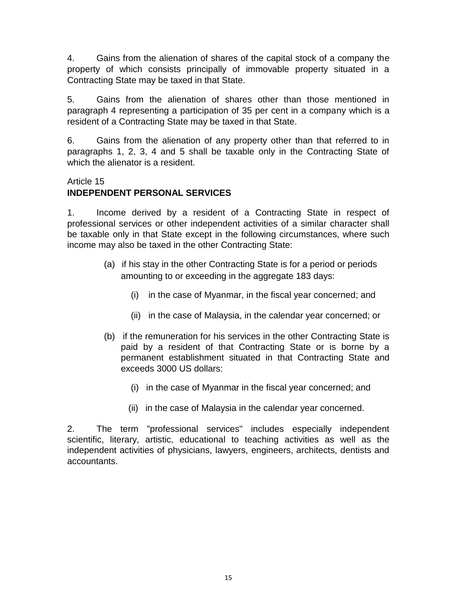4. Gains from the alienation of shares of the capital stock of a company the property of which consists principally of immovable property situated in a Contracting State may be taxed in that State.

5. Gains from the alienation of shares other than those mentioned in paragraph 4 representing a participation of 35 per cent in a company which is a resident of a Contracting State may be taxed in that State.

6. Gains from the alienation of any property other than that referred to in paragraphs 1, 2, 3, 4 and 5 shall be taxable only in the Contracting State of which the alienator is a resident.

#### Article 15

# **INDEPENDENT PERSONAL SERVICES**

1. Income derived by a resident of a Contracting State in respect of professional services or other independent activities of a similar character shall be taxable only in that State except in the following circumstances, where such income may also be taxed in the other Contracting State:

- (a) if his stay in the other Contracting State is for a period or periods amounting to or exceeding in the aggregate 183 days:
	- (i) in the case of Myanmar, in the fiscal year concerned; and
	- (ii) in the case of Malaysia, in the calendar year concerned; or
- (b) if the remuneration for his services in the other Contracting State is paid by a resident of that Contracting State or is borne by a permanent establishment situated in that Contracting State and exceeds 3000 US dollars:
	- (i) in the case of Myanmar in the fiscal year concerned; and
	- (ii) in the case of Malaysia in the calendar year concerned.

2. The term "professional services" includes especially independent scientific, literary, artistic, educational to teaching activities as well as the independent activities of physicians, lawyers, engineers, architects, dentists and accountants.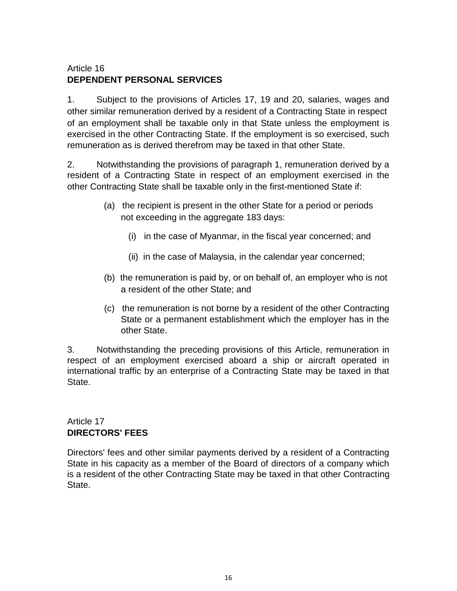# Article 16 **DEPENDENT PERSONAL SERVICES**

1. Subject to the provisions of Articles 17, 19 and 20, salaries, wages and other similar remuneration derived by a resident of a Contracting State in respect of an employment shall be taxable only in that State unless the employment is exercised in the other Contracting State. If the employment is so exercised, such remuneration as is derived therefrom may be taxed in that other State.

2. Notwithstanding the provisions of paragraph 1, remuneration derived by a resident of a Contracting State in respect of an employment exercised in the other Contracting State shall be taxable only in the first-mentioned State if:

- (a) the recipient is present in the other State for a period or periods not exceeding in the aggregate 183 days:
	- (i) in the case of Myanmar, in the fiscal year concerned; and
	- (ii) in the case of Malaysia, in the calendar year concerned;
- (b) the remuneration is paid by, or on behalf of, an employer who is not a resident of the other State; and
- (c) the remuneration is not borne by a resident of the other Contracting State or a permanent establishment which the employer has in the other State.

3. Notwithstanding the preceding provisions of this Article, remuneration in respect of an employment exercised aboard a ship or aircraft operated in international traffic by an enterprise of a Contracting State may be taxed in that State.

# Article 17 **DIRECTORS' FEES**

Directors' fees and other similar payments derived by a resident of a Contracting State in his capacity as a member of the Board of directors of a company which is a resident of the other Contracting State may be taxed in that other Contracting State.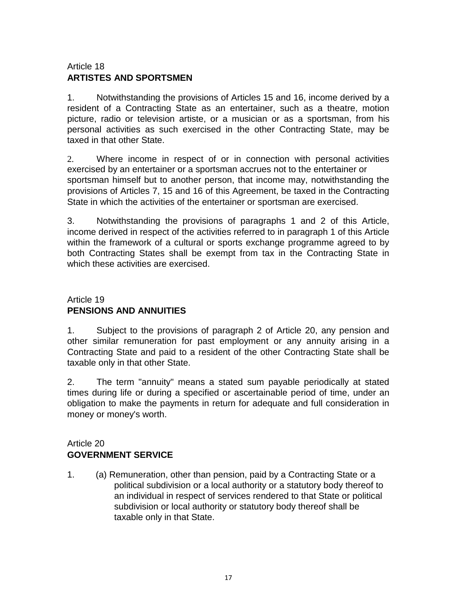### Article 18 **ARTISTES AND SPORTSMEN**

1. Notwithstanding the provisions of Articles 15 and 16, income derived by a resident of a Contracting State as an entertainer, such as a theatre, motion picture, radio or television artiste, or a musician or as a sportsman, from his personal activities as such exercised in the other Contracting State, may be taxed in that other State.

2. Where income in respect of or in connection with personal activities exercised by an entertainer or a sportsman accrues not to the entertainer or sportsman himself but to another person, that income may, notwithstanding the provisions of Articles 7, 15 and 16 of this Agreement, be taxed in the Contracting State in which the activities of the entertainer or sportsman are exercised.

3. Notwithstanding the provisions of paragraphs 1 and 2 of this Article, income derived in respect of the activities referred to in paragraph 1 of this Article within the framework of a cultural or sports exchange programme agreed to by both Contracting States shall be exempt from tax in the Contracting State in which these activities are exercised.

#### Article 19 **PENSIONS AND ANNUITIES**

1. Subject to the provisions of paragraph 2 of Article 20, any pension and other similar remuneration for past employment or any annuity arising in a Contracting State and paid to a resident of the other Contracting State shall be taxable only in that other State.

2. The term "annuity" means a stated sum payable periodically at stated times during life or during a specified or ascertainable period of time, under an obligation to make the payments in return for adequate and full consideration in money or money's worth.

# Article 20 **GOVERNMENT SERVICE**

1. (a) Remuneration, other than pension, paid by a Contracting State or a political subdivision or a local authority or a statutory body thereof to an individual in respect of services rendered to that State or political subdivision or local authority or statutory body thereof shall be taxable only in that State.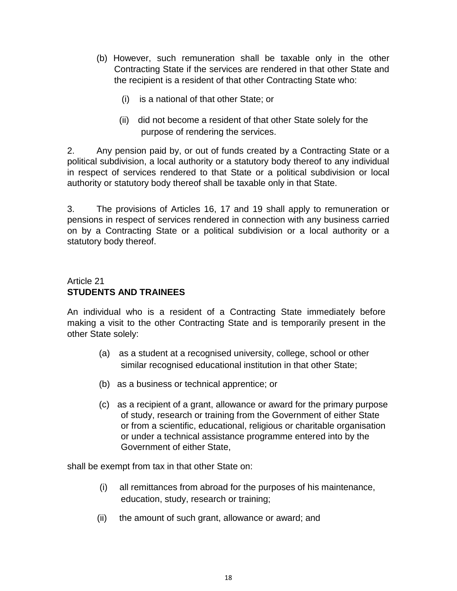- (b) However, such remuneration shall be taxable only in the other Contracting State if the services are rendered in that other State and the recipient is a resident of that other Contracting State who:
	- (i) is a national of that other State; or
	- (ii) did not become a resident of that other State solely for the purpose of rendering the services.

2. Any pension paid by, or out of funds created by a Contracting State or a political subdivision, a local authority or a statutory body thereof to any individual in respect of services rendered to that State or a political subdivision or local authority or statutory body thereof shall be taxable only in that State.

3. The provisions of Articles 16, 17 and 19 shall apply to remuneration or pensions in respect of services rendered in connection with any business carried on by a Contracting State or a political subdivision or a local authority or a statutory body thereof.

#### Article 21 **STUDENTS AND TRAINEES**

An individual who is a resident of a Contracting State immediately before making a visit to the other Contracting State and is temporarily present in the other State solely:

- (a) as a student at a recognised university, college, school or other similar recognised educational institution in that other State;
- (b) as a business or technical apprentice; or
- (c) as a recipient of a grant, allowance or award for the primary purpose of study, research or training from the Government of either State or from a scientific, educational, religious or charitable organisation or under a technical assistance programme entered into by the Government of either State,

shall be exempt from tax in that other State on:

- (i) all remittances from abroad for the purposes of his maintenance, education, study, research or training;
- (ii) the amount of such grant, allowance or award; and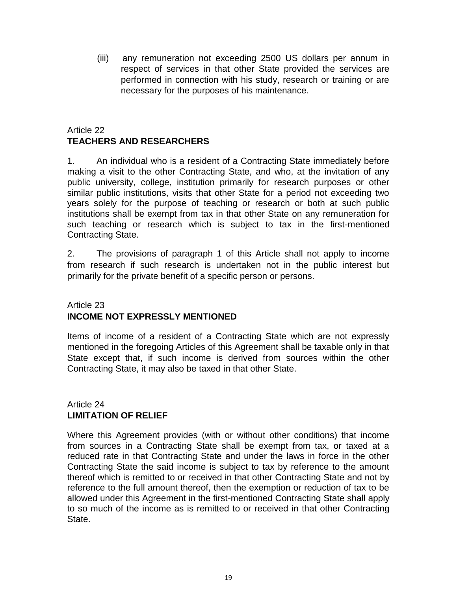(iii) any remuneration not exceeding 2500 US dollars per annum in respect of services in that other State provided the services are performed in connection with his study, research or training or are necessary for the purposes of his maintenance.

### Article 22 **TEACHERS AND RESEARCHERS**

1. An individual who is a resident of a Contracting State immediately before making a visit to the other Contracting State, and who, at the invitation of any public university, college, institution primarily for research purposes or other similar public institutions, visits that other State for a period not exceeding two years solely for the purpose of teaching or research or both at such public institutions shall be exempt from tax in that other State on any remuneration for such teaching or research which is subject to tax in the first-mentioned Contracting State.

2. The provisions of paragraph 1 of this Article shall not apply to income from research if such research is undertaken not in the public interest but primarily for the private benefit of a specific person or persons.

# Article 23 **INCOME NOT EXPRESSLY MENTIONED**

Items of income of a resident of a Contracting State which are not expressly mentioned in the foregoing Articles of this Agreement shall be taxable only in that State except that, if such income is derived from sources within the other Contracting State, it may also be taxed in that other State.

#### Article 24 **LIMITATION OF RELIEF**

Where this Agreement provides (with or without other conditions) that income from sources in a Contracting State shall be exempt from tax, or taxed at a reduced rate in that Contracting State and under the laws in force in the other Contracting State the said income is subject to tax by reference to the amount thereof which is remitted to or received in that other Contracting State and not by reference to the full amount thereof, then the exemption or reduction of tax to be allowed under this Agreement in the first-mentioned Contracting State shall apply to so much of the income as is remitted to or received in that other Contracting State.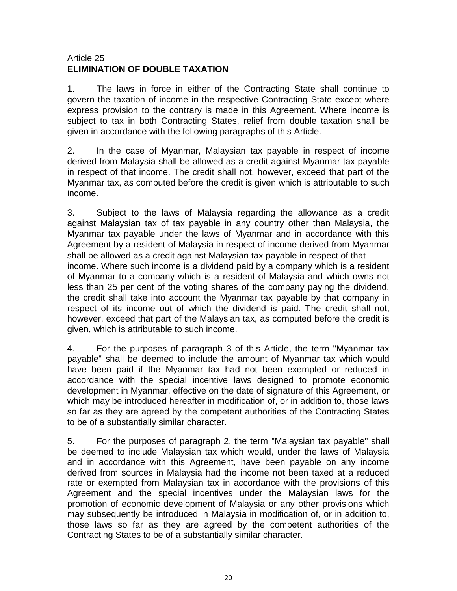#### Article 25 **ELIMINATION OF DOUBLE TAXATION**

1. The laws in force in either of the Contracting State shall continue to govern the taxation of income in the respective Contracting State except where express provision to the contrary is made in this Agreement. Where income is subject to tax in both Contracting States, relief from double taxation shall be given in accordance with the following paragraphs of this Article.

2. In the case of Myanmar, Malaysian tax payable in respect of income derived from Malaysia shall be allowed as a credit against Myanmar tax payable in respect of that income. The credit shall not, however, exceed that part of the Myanmar tax, as computed before the credit is given which is attributable to such income.

3. Subject to the laws of Malaysia regarding the allowance as a credit against Malaysian tax of tax payable in any country other than Malaysia, the Myanmar tax payable under the laws of Myanmar and in accordance with this Agreement by a resident of Malaysia in respect of income derived from Myanmar shall be allowed as a credit against Malaysian tax payable in respect of that income. Where such income is a dividend paid by a company which is a resident of Myanmar to a company which is a resident of Malaysia and which owns not less than 25 per cent of the voting shares of the company paying the dividend, the credit shall take into account the Myanmar tax payable by that company in respect of its income out of which the dividend is paid. The credit shall not, however, exceed that part of the Malaysian tax, as computed before the credit is given, which is attributable to such income.

4. For the purposes of paragraph 3 of this Article, the term "Myanmar tax payable" shall be deemed to include the amount of Myanmar tax which would have been paid if the Myanmar tax had not been exempted or reduced in accordance with the special incentive laws designed to promote economic development in Myanmar, effective on the date of signature of this Agreement, or which may be introduced hereafter in modification of, or in addition to, those laws so far as they are agreed by the competent authorities of the Contracting States to be of a substantially similar character.

5. For the purposes of paragraph 2, the term "Malaysian tax payable" shall be deemed to include Malaysian tax which would, under the laws of Malaysia and in accordance with this Agreement, have been payable on any income derived from sources in Malaysia had the income not been taxed at a reduced rate or exempted from Malaysian tax in accordance with the provisions of this Agreement and the special incentives under the Malaysian laws for the promotion of economic development of Malaysia or any other provisions which may subsequently be introduced in Malaysia in modification of, or in addition to, those laws so far as they are agreed by the competent authorities of the Contracting States to be of a substantially similar character.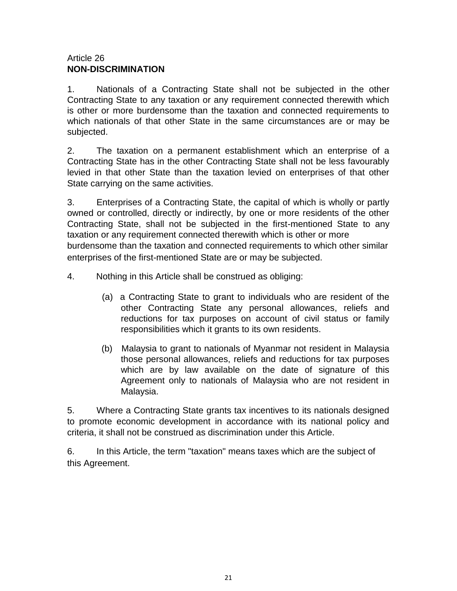#### Article 26 **NON-DISCRIMINATION**

1. Nationals of a Contracting State shall not be subjected in the other Contracting State to any taxation or any requirement connected therewith which is other or more burdensome than the taxation and connected requirements to which nationals of that other State in the same circumstances are or may be subjected.

2. The taxation on a permanent establishment which an enterprise of a Contracting State has in the other Contracting State shall not be less favourably levied in that other State than the taxation levied on enterprises of that other State carrying on the same activities.

3. Enterprises of a Contracting State, the capital of which is wholly or partly owned or controlled, directly or indirectly, by one or more residents of the other Contracting State, shall not be subjected in the first-mentioned State to any taxation or any requirement connected therewith which is other or more burdensome than the taxation and connected requirements to which other similar enterprises of the first-mentioned State are or may be subjected.

- 4. Nothing in this Article shall be construed as obliging:
	- (a) a Contracting State to grant to individuals who are resident of the other Contracting State any personal allowances, reliefs and reductions for tax purposes on account of civil status or family responsibilities which it grants to its own residents.
	- (b) Malaysia to grant to nationals of Myanmar not resident in Malaysia those personal allowances, reliefs and reductions for tax purposes which are by law available on the date of signature of this Agreement only to nationals of Malaysia who are not resident in Malaysia.

5. Where a Contracting State grants tax incentives to its nationals designed to promote economic development in accordance with its national policy and criteria, it shall not be construed as discrimination under this Article.

6. In this Article, the term "taxation" means taxes which are the subject of this Agreement.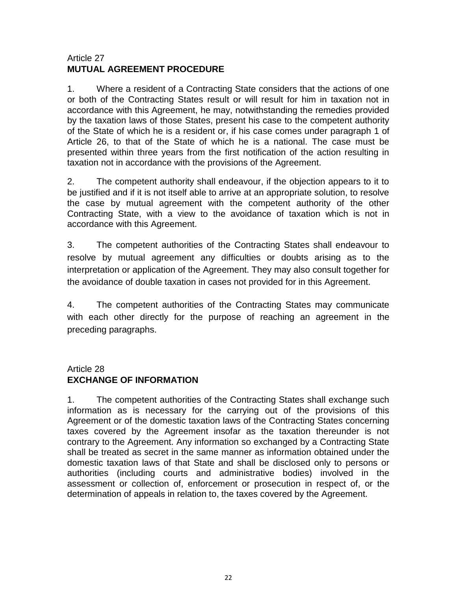### Article 27 **MUTUAL AGREEMENT PROCEDURE**

1. Where a resident of a Contracting State considers that the actions of one or both of the Contracting States result or will result for him in taxation not in accordance with this Agreement, he may, notwithstanding the remedies provided by the taxation laws of those States, present his case to the competent authority of the State of which he is a resident or, if his case comes under paragraph 1 of Article 26, to that of the State of which he is a national. The case must be presented within three years from the first notification of the action resulting in taxation not in accordance with the provisions of the Agreement.

2. The competent authority shall endeavour, if the objection appears to it to be justified and if it is not itself able to arrive at an appropriate solution, to resolve the case by mutual agreement with the competent authority of the other Contracting State, with a view to the avoidance of taxation which is not in accordance with this Agreement.

3. The competent authorities of the Contracting States shall endeavour to resolve by mutual agreement any difficulties or doubts arising as to the interpretation or application of the Agreement. They may also consult together for the avoidance of double taxation in cases not provided for in this Agreement.

4. The competent authorities of the Contracting States may communicate with each other directly for the purpose of reaching an agreement in the preceding paragraphs.

# Article 28 **EXCHANGE OF INFORMATION**

1. The competent authorities of the Contracting States shall exchange such information as is necessary for the carrying out of the provisions of this Agreement or of the domestic taxation laws of the Contracting States concerning taxes covered by the Agreement insofar as the taxation thereunder is not contrary to the Agreement. Any information so exchanged by a Contracting State shall be treated as secret in the same manner as information obtained under the domestic taxation laws of that State and shall be disclosed only to persons or authorities (including courts and administrative bodies) involved in the assessment or collection of, enforcement or prosecution in respect of, or the determination of appeals in relation to, the taxes covered by the Agreement.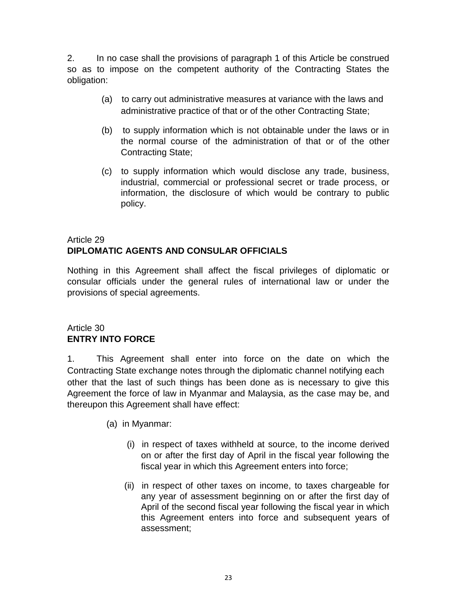2. In no case shall the provisions of paragraph 1 of this Article be construed so as to impose on the competent authority of the Contracting States the obligation:

- (a) to carry out administrative measures at variance with the laws and administrative practice of that or of the other Contracting State;
- (b) to supply information which is not obtainable under the laws or in the normal course of the administration of that or of the other Contracting State;
- (c) to supply information which would disclose any trade, business, industrial, commercial or professional secret or trade process, or information, the disclosure of which would be contrary to public policy.

# Article 29 **DIPLOMATIC AGENTS AND CONSULAR OFFICIALS**

Nothing in this Agreement shall affect the fiscal privileges of diplomatic or consular officials under the general rules of international law or under the provisions of special agreements.

### Article 30 **ENTRY INTO FORCE**

1. This Agreement shall enter into force on the date on which the Contracting State exchange notes through the diplomatic channel notifying each other that the last of such things has been done as is necessary to give this Agreement the force of law in Myanmar and Malaysia, as the case may be, and thereupon this Agreement shall have effect:

- (a) in Myanmar:
	- (i) in respect of taxes withheld at source, to the income derived on or after the first day of April in the fiscal year following the fiscal year in which this Agreement enters into force;
	- (ii) in respect of other taxes on income, to taxes chargeable for any year of assessment beginning on or after the first day of April of the second fiscal year following the fiscal year in which this Agreement enters into force and subsequent years of assessment;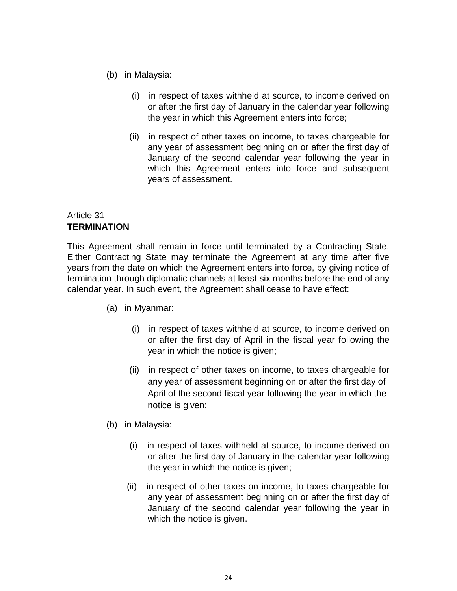- (b) in Malaysia:
	- (i) in respect of taxes withheld at source, to income derived on or after the first day of January in the calendar year following the year in which this Agreement enters into force;
	- (ii) in respect of other taxes on income, to taxes chargeable for any year of assessment beginning on or after the first day of January of the second calendar year following the year in which this Agreement enters into force and subsequent years of assessment.

# Article 31 **TERMINATION**

This Agreement shall remain in force until terminated by a Contracting State. Either Contracting State may terminate the Agreement at any time after five years from the date on which the Agreement enters into force, by giving notice of termination through diplomatic channels at least six months before the end of any calendar year. In such event, the Agreement shall cease to have effect:

- (a) in Myanmar:
	- (i) in respect of taxes withheld at source, to income derived on or after the first day of April in the fiscal year following the year in which the notice is given;
	- (ii) in respect of other taxes on income, to taxes chargeable for any year of assessment beginning on or after the first day of April of the second fiscal year following the year in which the notice is given;
- (b) in Malaysia:
	- (i) in respect of taxes withheld at source, to income derived on or after the first day of January in the calendar year following the year in which the notice is given;
	- (ii) in respect of other taxes on income, to taxes chargeable for any year of assessment beginning on or after the first day of January of the second calendar year following the year in which the notice is given.